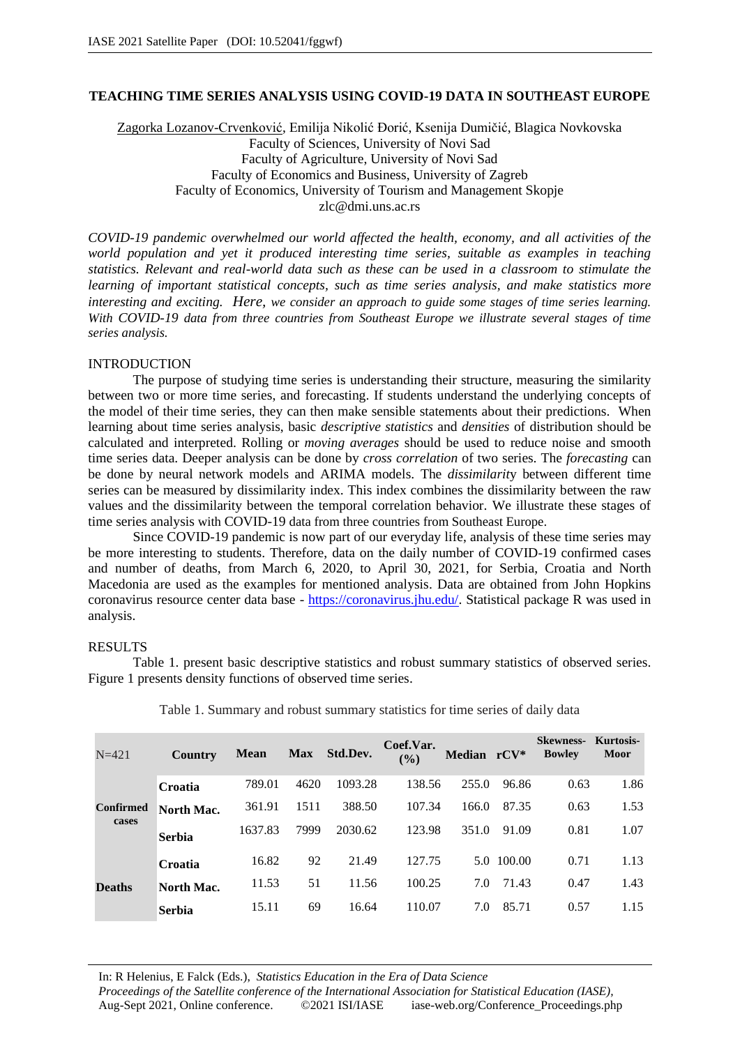# **TEACHING TIME SERIES ANALYSIS USING COVID-19 DATA IN SOUTHEAST EUROPE**

Zagorka Lozanov-Crvenković, Emilija Nikolić Đorić, Ksenija Dumičić, Blagica Novkovska Faculty of Sciences, University of Novi Sad Faculty of Agriculture, University of Novi Sad Faculty of Economics and Business, University of Zagreb Faculty of Economics, University of Tourism and Management Skopje zlc@dmi.uns.ac.rs

*COVID-19 pandemic overwhelmed our world affected the health, economy, and all activities of the world population and yet it produced interesting time series, suitable as examples in teaching statistics. Relevant and real-world data such as these can be used in a classroom to stimulate the learning of important statistical concepts, such as time series analysis, and make statistics more interesting and exciting. Here, we consider an approach to guide some stages of time series learning. With COVID-19 data from three countries from Southeast Europe we illustrate several stages of time series analysis.*

#### INTRODUCTION

The purpose of studying time series is understanding their structure, measuring the similarity between two or more time series, and forecasting. If students understand the underlying concepts of the model of their time series, they can then make sensible statements about their predictions. When learning about time series analysis, basic *descriptive statistics* and *densities* of distribution should be calculated and interpreted. Rolling or *moving averages* should be used to reduce noise and smooth time series data. Deeper analysis can be done by *cross correlation* of two series. The *forecasting* can be done by neural network models and ARIMA models. The *dissimilarit*y between different time series can be measured by dissimilarity index. This index combines the dissimilarity between the raw values and the dissimilarity between the temporal correlation behavior. We illustrate these stages of time series analysis with COVID-19 data from three countries from Southeast Europe.

Since COVID-19 pandemic is now part of our everyday life, analysis of these time series may be more interesting to students. Therefore, data on the daily number of COVID-19 confirmed cases and number of deaths, from March 6, 2020, to April 30, 2021, for Serbia, Croatia and North Macedonia are used as the examples for mentioned analysis. Data are obtained from John Hopkins coronavirus resource center data base - https://coronavirus.jhu.edu/. Statistical package R was used in analysis.

### RESULTS

Table 1. present basic descriptive statistics and robust summary statistics of observed series. Figure 1 presents density functions of observed time series.

| $N = 421$                 | Country       | <b>Mean</b> | <b>Max</b> | Std.Dev. | Coef.Var.<br>$\frac{9}{6}$ | Median rCV* |            | <b>Skewness-</b><br><b>Bowley</b> | Kurtosis-<br><b>Moor</b> |
|---------------------------|---------------|-------------|------------|----------|----------------------------|-------------|------------|-----------------------------------|--------------------------|
| <b>Confirmed</b><br>cases | Croatia       | 789.01      | 4620       | 1093.28  | 138.56                     | 255.0       | 96.86      | 0.63                              | 1.86                     |
|                           | North Mac.    | 361.91      | 1511       | 388.50   | 107.34                     | 166.0       | 87.35      | 0.63                              | 1.53                     |
|                           | <b>Serbia</b> | 1637.83     | 7999       | 2030.62  | 123.98                     | 351.0       | 91.09      | 0.81                              | 1.07                     |
| <b>Deaths</b>             | Croatia       | 16.82       | 92         | 21.49    | 127.75                     |             | 5.0 100.00 | 0.71                              | 1.13                     |
|                           | North Mac.    | 11.53       | 51         | 11.56    | 100.25                     | 7.0         | 71.43      | 0.47                              | 1.43                     |
|                           | <b>Serbia</b> | 15.11       | 69         | 16.64    | 110.07                     | 7.0         | 85.71      | 0.57                              | 1.15                     |

Table 1. Summary and robust summary statistics for time series of daily data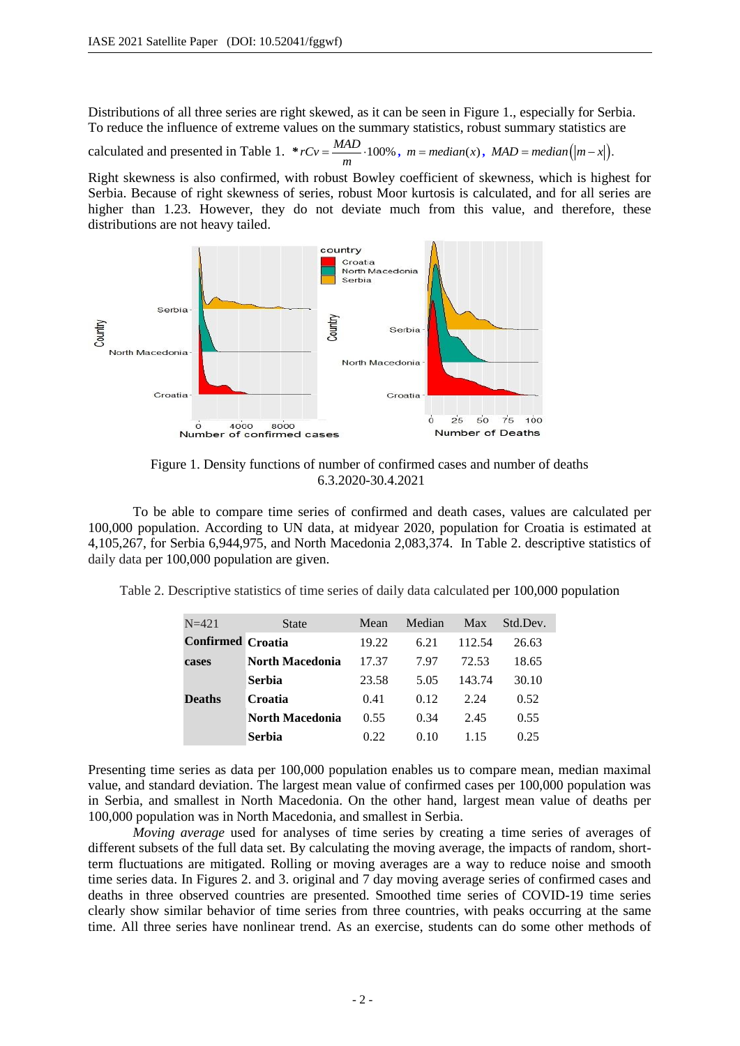Distributions of all three series are right skewed, as it can be seen in Figure 1., especially for Serbia. To reduce the influence of extreme values on the summary statistics, robust summary statistics are

calculated and presented in Table 1. *\* rCv* =  $\frac{MAD}{m} \cdot 100\%$ , *m* = *median*(*x*), *MAD* = *median*(|*m* - *x*|).

Right skewness is also confirmed, with robust Bowley coefficient of skewness, which is highest for Serbia. Because of right skewness of series, robust Moor kurtosis is calculated, and for all series are higher than 1.23. However, they do not deviate much from this value, and therefore, these distributions are not heavy tailed.



Figure 1. Density functions of number of confirmed cases and number of deaths 6.3.2020-30.4.2021

To be able to compare time series of confirmed and death cases, values are calculated per 100,000 population. According to UN data, at midyear 2020, population for Croatia is estimated at 4,105,267, for Serbia 6,944,975, and North Macedonia 2,083,374. In Table 2. descriptive statistics of daily data per 100,000 population are given.

Table 2. Descriptive statistics of time series of daily data calculated per 100,000 population

| $N = 421$                | State                  | Mean  | Median | Max    | Std.Dev. |
|--------------------------|------------------------|-------|--------|--------|----------|
| <b>Confirmed Croatia</b> |                        | 19.22 | 6.21   | 112.54 | 26.63    |
| cases                    | North Macedonia        | 17.37 | 7.97   | 72.53  | 18.65    |
|                          | <b>Serbia</b>          | 23.58 | 5.05   | 143.74 | 30.10    |
| <b>Deaths</b>            | Croatia                | 0.41  | 0.12   | 2.24   | 0.52     |
|                          | <b>North Macedonia</b> | 0.55  | 0.34   | 2.45   | 0.55     |
|                          | <b>Serbia</b>          | 0.22  | 0.10   | 115    | 0.25     |

Presenting time series as data per 100,000 population enables us to compare mean, median maximal value, and standard deviation. The largest mean value of confirmed cases per 100,000 population was in Serbia, and smallest in North Macedonia. On the other hand, largest mean value of deaths per 100,000 population was in North Macedonia, and smallest in Serbia.

*Moving average* used for analyses of time series by creating a time series of averages of different subsets of the full data set. By calculating the moving average, the impacts of random, shortterm fluctuations are mitigated. Rolling or moving averages are a way to reduce noise and smooth time series data. In Figures 2. and 3. original and 7 day moving average series of confirmed cases and deaths in three observed countries are presented. Smoothed time series of COVID-19 time series clearly show similar behavior of time series from three countries, with peaks occurring at the same time. All three series have nonlinear trend. As an exercise, students can do some other methods of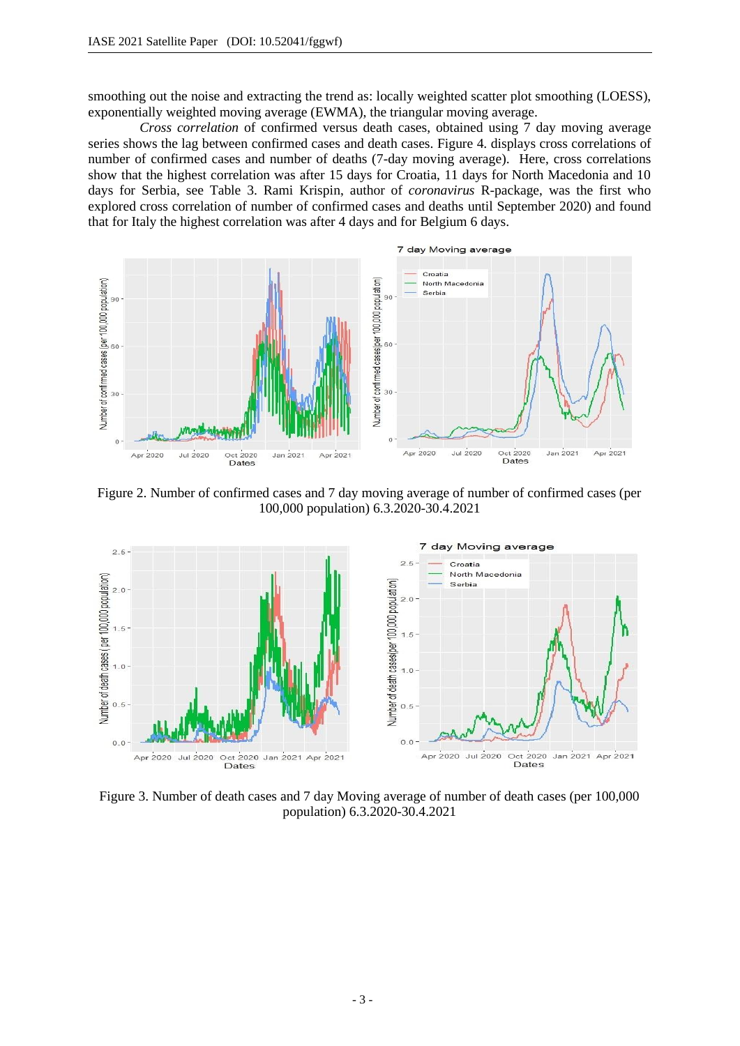smoothing out the noise and extracting the trend as: locally weighted scatter plot smoothing (LOESS), exponentially weighted moving average (EWMA), the triangular moving average.

 *Cross correlation* of confirmed versus death cases, obtained using 7 day moving average series shows the lag between confirmed cases and death cases. Figure 4. displays cross correlations of number of confirmed cases and number of deaths (7-day moving average). Here, cross correlations show that the highest correlation was after 15 days for Croatia, 11 days for North Macedonia and 10 days for Serbia, see Table 3. Rami Krispin, author of *coronavirus* R-package, was the first who explored cross correlation of number of confirmed cases and deaths until September 2020) and found that for Italy the highest correlation was after 4 days and for Belgium 6 days.



Figure 2. Number of confirmed cases and 7 day moving average of number of confirmed cases (per 100,000 population) 6.3.2020-30.4.2021



Figure 3. Number of death cases and 7 day Moving average of number of death cases (per 100,000 population) 6.3.2020-30.4.2021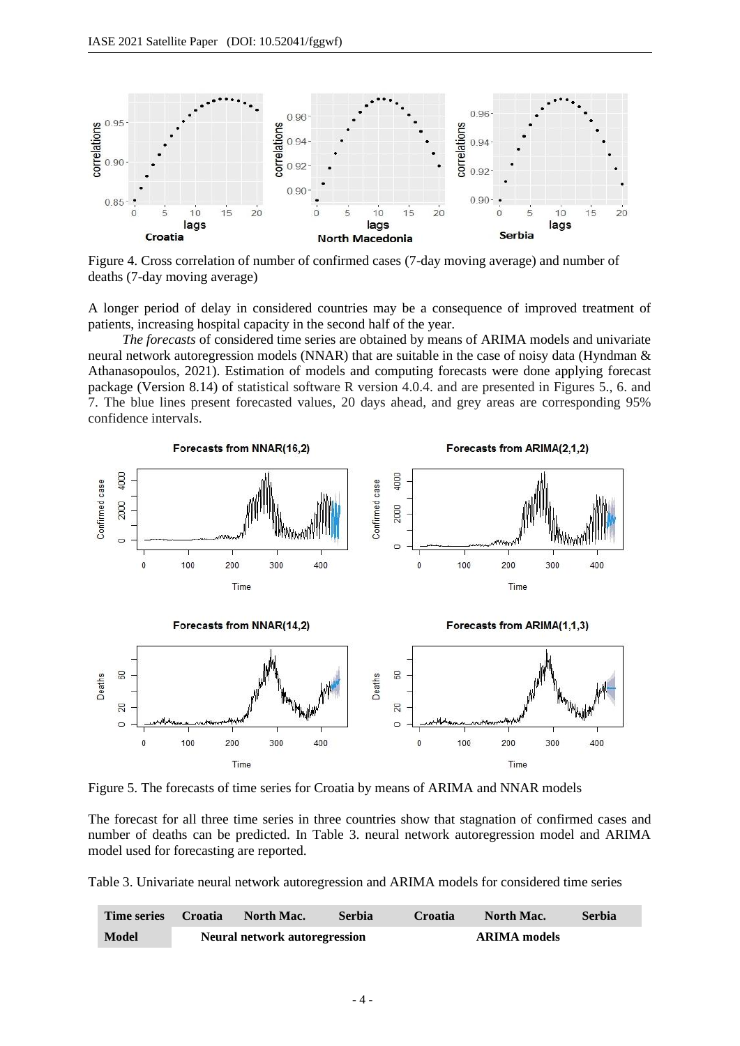

Figure 4. Cross correlation of number of confirmed cases (7-day moving average) and number of deaths (7-day moving average)

A longer period of delay in considered countries may be a consequence of improved treatment of patients, increasing hospital capacity in the second half of the year.

 *The forecasts* of considered time series are obtained by means of ARIMA models and univariate neural network autoregression models (NNAR) that are suitable in the case of noisy data (Hyndman & Athanasopoulos, 2021). Estimation of models and computing forecasts were done applying forecast package (Version 8.14) of statistical software R version 4.0.4. and are presented in Figures 5., 6. and 7. The blue lines present forecasted values, 20 days ahead, and grey areas are corresponding 95% confidence intervals.



Figure 5. The forecasts of time series for Croatia by means of ARIMA and NNAR models

The forecast for all three time series in three countries show that stagnation of confirmed cases and number of deaths can be predicted. In Table 3. neural network autoregression model and ARIMA model used for forecasting are reported.

Table 3. Univariate neural network autoregression and ARIMA models for considered time series

| <b>Time series</b> | <b>Croatia</b> | North Mac.                           | <b>Serbia</b> | Croatia | North Mac.          | <b>Serbia</b> |
|--------------------|----------------|--------------------------------------|---------------|---------|---------------------|---------------|
| <b>Model</b>       |                | <b>Neural network autoregression</b> |               |         | <b>ARIMA</b> models |               |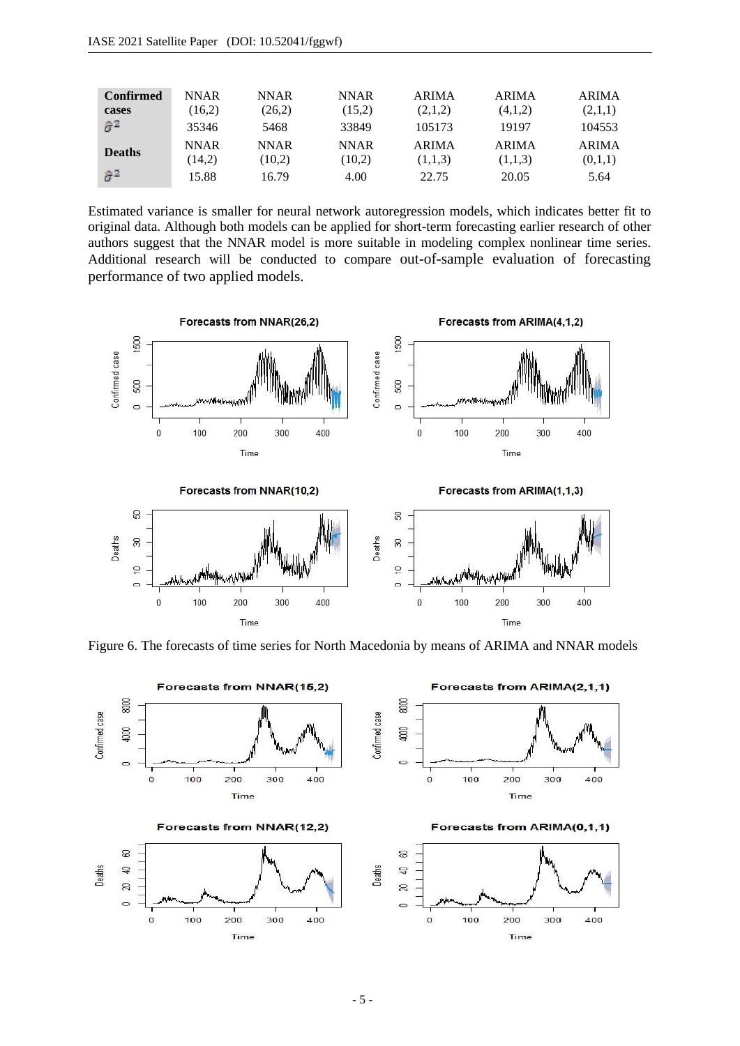| <b>Confirmed</b> | <b>NNAR</b> | <b>NNAR</b> | <b>NNAR</b> | <b>ARIMA</b> | <b>ARIMA</b> | <b>ARIMA</b> |
|------------------|-------------|-------------|-------------|--------------|--------------|--------------|
| cases            | (16.2)      | (26.2)      | (15,2)      | (2,1,2)      | (4,1,2)      | (2,1,1)      |
| $\hat{\sigma}^2$ | 35346       | 5468        | 33849       | 105173       | 19197        | 104553       |
| <b>Deaths</b>    | <b>NNAR</b> | <b>NNAR</b> | <b>NNAR</b> | <b>ARIMA</b> | <b>ARIMA</b> | <b>ARIMA</b> |
|                  | (14,2)      | (10.2)      | (10,2)      | (1,1,3)      | (1,1,3)      | (0,1,1)      |
| $\hat{\sigma}^2$ | 15.88       | 16.79       | 4.00        | 22.75        | 20.05        | 5.64         |

Estimated variance is smaller for neural network autoregression models, which indicates better fit to original data. Although both models can be applied for short-term forecasting earlier research of other authors suggest that the NNAR model is more suitable in modeling complex nonlinear time series. Additional research will be conducted to compare out-of-sample evaluation of forecasting performance of two applied models.



Figure 6. The forecasts of time series for North Macedonia by means of ARIMA and NNAR models